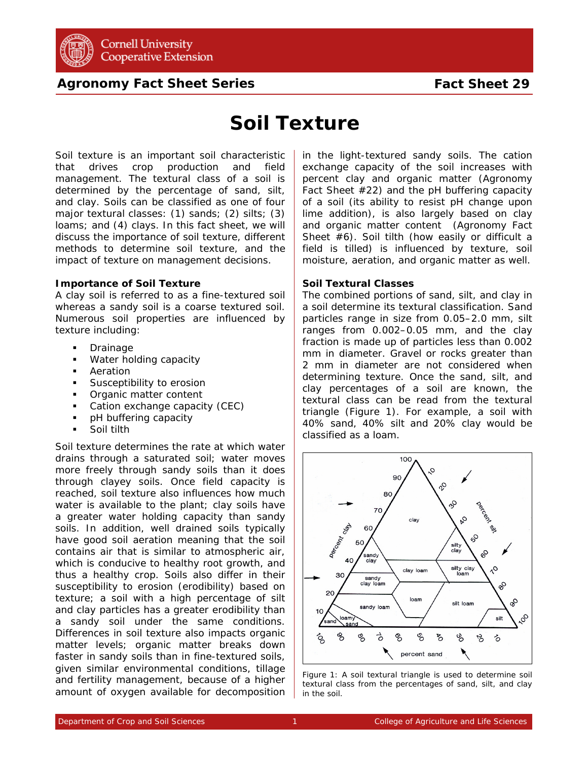

# **Agronomy Fact Sheet Series**

# **Soil Texture**

Soil texture is an important soil characteristic that drives crop production and field management. The textural class of a soil is determined by the percentage of sand, silt, and clay. Soils can be classified as one of four major textural classes: (1) sands; (2) silts; (3) loams; and (4) clays. In this fact sheet, we will discuss the importance of soil texture, different methods to determine soil texture, and the impact of texture on management decisions.

# **Importance of Soil Texture**

A clay soil is referred to as a fine-textured soil whereas a sandy soil is a coarse textured soil. Numerous soil properties are influenced by texture including:

- **Drainage**
- **Water holding capacity**
- **Aeration**
- **Susceptibility to erosion**
- **•** Organic matter content
- Cation exchange capacity (CEC)
- pH buffering capacity
- **Soil tilth**

Soil texture determines the rate at which water drains through a saturated soil; water moves more freely through sandy soils than it does through clayey soils. Once field capacity is reached, soil texture also influences how much water is available to the plant; clay soils have a greater water holding capacity than sandy soils. In addition, well drained soils typically have good soil aeration meaning that the soil contains air that is similar to atmospheric air, which is conducive to healthy root growth, and thus a healthy crop. Soils also differ in their susceptibility to erosion (erodibility) based on texture; a soil with a high percentage of silt and clay particles has a greater erodibility than a sandy soil under the same conditions. Differences in soil texture also impacts organic matter levels; organic matter breaks down faster in sandy soils than in fine-textured soils, given similar environmental conditions, tillage and fertility management, because of a higher amount of oxygen available for decomposition in the light-textured sandy soils. The cation exchange capacity of the soil increases with percent clay and organic matter (Agronomy Fact Sheet #22) and the pH buffering capacity of a soil (its ability to resist pH change upon lime addition), is also largely based on clay and organic matter content (Agronomy Fact Sheet #6). Soil tilth (how easily or difficult a field is tilled) is influenced by texture, soil moisture, aeration, and organic matter as well.

# **Soil Textural Classes**

The combined portions of sand, silt, and clay in a soil determine its textural classification. Sand particles range in size from 0.05–2.0 mm, silt ranges from 0.002–0.05 mm, and the clay fraction is made up of particles less than 0.002 mm in diameter. Gravel or rocks greater than 2 mm in diameter are not considered when determining texture. Once the sand, silt, and clay percentages of a soil are known, the textural class can be read from the textural triangle (Figure 1). For example, a soil with 40% sand, 40% silt and 20% clay would be classified as a loam.



Figure 1: A soil textural triangle is used to determine soil textural class from the percentages of sand, silt, and clay in the soil.